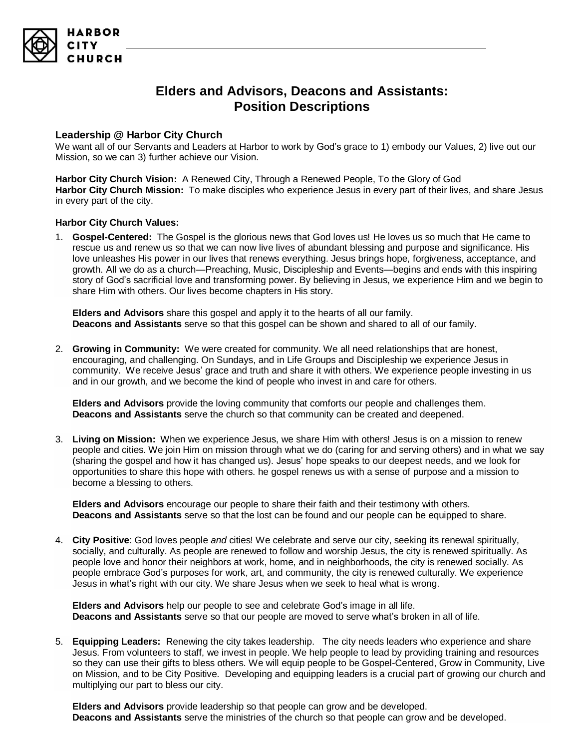

# **Elders and Advisors, Deacons and Assistants: Position Descriptions**

## **Leadership @ Harbor City Church**

We want all of our Servants and Leaders at Harbor to work by God's grace to 1) embody our Values, 2) live out our Mission, so we can 3) further achieve our Vision.

**Harbor City Church Vision:** A Renewed City, Through a Renewed People, To the Glory of God **Harbor City Church Mission:** To make disciples who experience Jesus in every part of their lives, and share Jesus in every part of the city.

### **Harbor City Church Values:**

1. **Gospel-Centered:** The Gospel is the glorious news that God loves us! He loves us so much that He came to rescue us and renew us so that we can now live lives of abundant blessing and purpose and significance. His love unleashes His power in our lives that renews everything. Jesus brings hope, forgiveness, acceptance, and growth. All we do as a church—Preaching, Music, Discipleship and Events—begins and ends with this inspiring story of God's sacrificial love and transforming power. By believing in Jesus, we experience Him and we begin to share Him with others. Our lives become chapters in His story.

**Elders and Advisors** share this gospel and apply it to the hearts of all our family. **Deacons and Assistants** serve so that this gospel can be shown and shared to all of our family.

2. **Growing in Community:** We were created for community. We all need relationships that are honest, encouraging, and challenging. On Sundays, and in Life Groups and Discipleship we experience Jesus in community. We receive Jesus' grace and truth and share it with others. We experience people investing in us and in our growth, and we become the kind of people who invest in and care for others.

**Elders and Advisors** provide the loving community that comforts our people and challenges them. **Deacons and Assistants** serve the church so that community can be created and deepened.

3. **Living on Mission:** When we experience Jesus, we share Him with others! Jesus is on a mission to renew people and cities. We join Him on mission through what we do (caring for and serving others) and in what we say (sharing the gospel and how it has changed us). Jesus' hope speaks to our deepest needs, and we look for opportunities to share this hope with others. he gospel renews us with a sense of purpose and a mission to become a blessing to others.

**Elders and Advisors** encourage our people to share their faith and their testimony with others. **Deacons and Assistants** serve so that the lost can be found and our people can be equipped to share.

4. **City Positive**: God loves people *and* cities! We celebrate and serve our city, seeking its renewal spiritually, socially, and culturally. As people are renewed to follow and worship Jesus, the city is renewed spiritually. As people love and honor their neighbors at work, home, and in neighborhoods, the city is renewed socially. As people embrace God's purposes for work, art, and community, the city is renewed culturally. We experience Jesus in what's right with our city. We share Jesus when we seek to heal what is wrong.

**Elders and Advisors** help our people to see and celebrate God's image in all life. **Deacons and Assistants** serve so that our people are moved to serve what's broken in all of life.

5. **Equipping Leaders:** Renewing the city takes leadership. The city needs leaders who experience and share Jesus. From volunteers to staff, we invest in people. We help people to lead by providing training and resources so they can use their gifts to bless others. We will equip people to be Gospel-Centered, Grow in Community, Live on Mission, and to be City Positive. Developing and equipping leaders is a crucial part of growing our church and multiplying our part to bless our city.

**Elders and Advisors** provide leadership so that people can grow and be developed. **Deacons and Assistants** serve the ministries of the church so that people can grow and be developed.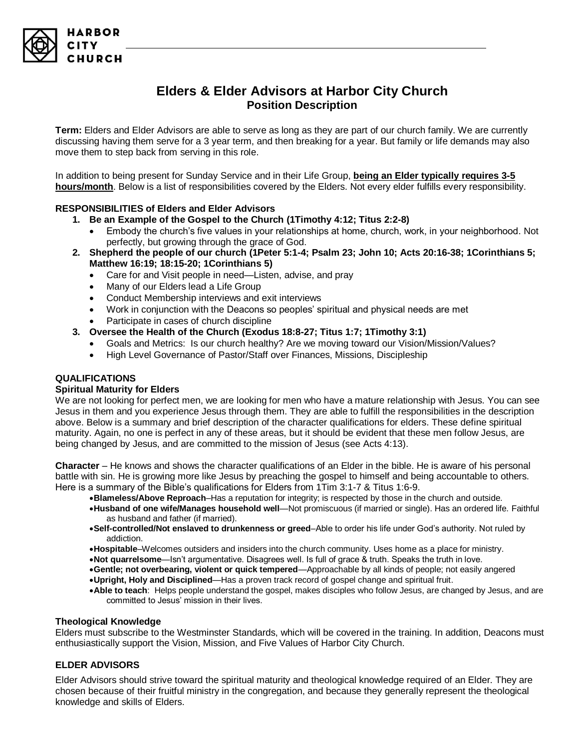# **Elders & Elder Advisors at Harbor City Church Position Description**

**Term:** Elders and Elder Advisors are able to serve as long as they are part of our church family. We are currently discussing having them serve for a 3 year term, and then breaking for a year. But family or life demands may also move them to step back from serving in this role.

In addition to being present for Sunday Service and in their Life Group, **being an Elder typically requires 3-5 hours/month**. Below is a list of responsibilities covered by the Elders. Not every elder fulfills every responsibility.

### **RESPONSIBILITIES of Elders and Elder Advisors**

- **1. Be an Example of the Gospel to the Church (1Timothy 4:12; Titus 2:2-8)**
	- Embody the church's five values in your relationships at home, church, work, in your neighborhood. Not perfectly, but growing through the grace of God.
- **2. Shepherd the people of our church (1Peter 5:1-4; Psalm 23; John 10; Acts 20:16-38; 1Corinthians 5; Matthew 16:19; 18:15-20; 1Corinthians 5)** 
	- Care for and Visit people in need—Listen, advise, and pray
	- Many of our Elders lead a Life Group
	- Conduct Membership interviews and exit interviews
	- Work in conjunction with the Deacons so peoples' spiritual and physical needs are met
	- Participate in cases of church discipline
- **3. Oversee the Health of the Church (Exodus 18:8-27; Titus 1:7; 1Timothy 3:1)**
	- Goals and Metrics: Is our church healthy? Are we moving toward our Vision/Mission/Values?
	- High Level Governance of Pastor/Staff over Finances, Missions, Discipleship

### **QUALIFICATIONS**

#### **Spiritual Maturity for Elders**

We are not looking for perfect men, we are looking for men who have a mature relationship with Jesus. You can see Jesus in them and you experience Jesus through them. They are able to fulfill the responsibilities in the description above. Below is a summary and brief description of the character qualifications for elders. These define spiritual maturity. Again, no one is perfect in any of these areas, but it should be evident that these men follow Jesus, are being changed by Jesus, and are committed to the mission of Jesus (see Acts 4:13).

**Character** – He knows and shows the character qualifications of an Elder in the bible. He is aware of his personal battle with sin. He is growing more like Jesus by preaching the gospel to himself and being accountable to others. Here is a summary of the Bible's qualifications for Elders from 1Tim 3:1-7 & Titus 1:6-9.

- •**Blameless/Above Reproach**–Has a reputation for integrity; is respected by those in the church and outside.
- •**Husband of one wife/Manages household well**—Not promiscuous (if married or single). Has an ordered life. Faithful as husband and father (if married).
- •**Self-controlled/Not enslaved to drunkenness or greed**–Able to order his life under God's authority. Not ruled by addiction.
- •**Hospitable**–Welcomes outsiders and insiders into the church community. Uses home as a place for ministry.
- •**Not quarrelsome**—Isn't argumentative. Disagrees well. Is full of grace & truth. Speaks the truth in love.
- •**Gentle; not overbearing, violent or quick tempered**—Approachable by all kinds of people; not easily angered
- •**Upright, Holy and Disciplined**—Has a proven track record of gospel change and spiritual fruit.
- •**Able to teach**: Helps people understand the gospel, makes disciples who follow Jesus, are changed by Jesus, and are committed to Jesus' mission in their lives.

#### **Theological Knowledge**

Elders must subscribe to the Westminster Standards, which will be covered in the training. In addition, Deacons must enthusiastically support the Vision, Mission, and Five Values of Harbor City Church.

### **ELDER ADVISORS**

Elder Advisors should strive toward the spiritual maturity and theological knowledge required of an Elder. They are chosen because of their fruitful ministry in the congregation, and because they generally represent the theological knowledge and skills of Elders.